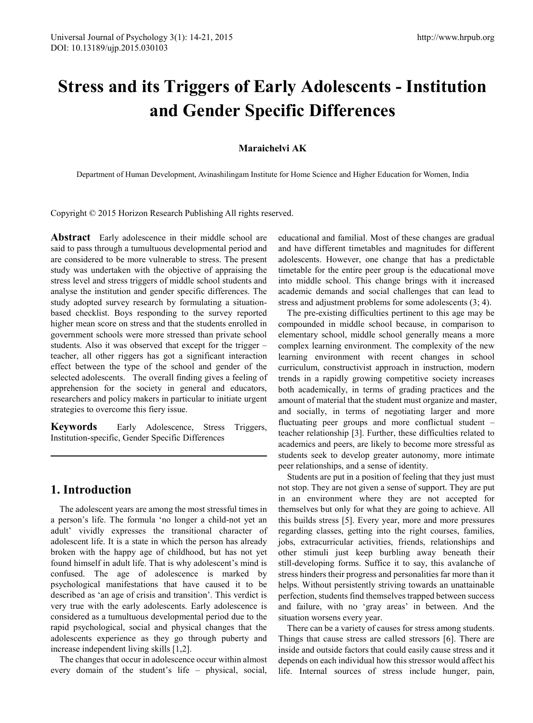# **Stress and its Triggers of Early Adolescents - Institution and Gender Specific Differences**

# **Maraichelvi AK**

Department of Human Development, Avinashilingam Institute for Home Science and Higher Education for Women, India

Copyright © 2015 Horizon Research Publishing All rights reserved.

**Abstract** Early adolescence in their middle school are said to pass through a tumultuous developmental period and are considered to be more vulnerable to stress. The present study was undertaken with the objective of appraising the stress level and stress triggers of middle school students and analyse the institution and gender specific differences. The study adopted survey research by formulating a situationbased checklist. Boys responding to the survey reported higher mean score on stress and that the students enrolled in government schools were more stressed than private school students. Also it was observed that except for the trigger – teacher, all other riggers has got a significant interaction effect between the type of the school and gender of the selected adolescents. The overall finding gives a feeling of apprehension for the society in general and educators, researchers and policy makers in particular to initiate urgent strategies to overcome this fiery issue.

**Keywords** Early Adolescence, Stress Triggers, Institution-specific, Gender Specific Differences

# **1. Introduction**

The adolescent years are among the most stressful times in a person's life. The formula 'no longer a child-not yet an adult' vividly expresses the transitional character of adolescent life. It is a state in which the person has already broken with the happy age of childhood, but has not yet found himself in adult life. That is why adolescent's mind is confused. The age of adolescence is marked by psychological manifestations that have caused it to be described as 'an age of crisis and transition'. This verdict is very true with the early adolescents. Early adolescence is considered as a tumultuous developmental period due to the rapid psychological, social and physical changes that the adolescents experience as they go through puberty and increase independent living skills [1,2].

The changes that occur in adolescence occur within almost every domain of the student's life – physical, social,

educational and familial. Most of these changes are gradual and have different timetables and magnitudes for different adolescents. However, one change that has a predictable timetable for the entire peer group is the educational move into middle school. This change brings with it increased academic demands and social challenges that can lead to stress and adjustment problems for some adolescents  $(3, 4)$ .

The pre-existing difficulties pertinent to this age may be compounded in middle school because, in comparison to elementary school, middle school generally means a more complex learning environment. The complexity of the new learning environment with recent changes in school curriculum, constructivist approach in instruction, modern trends in a rapidly growing competitive society increases both academically, in terms of grading practices and the amount of material that the student must organize and master, and socially, in terms of negotiating larger and more fluctuating peer groups and more conflictual student – teacher relationship [3]. Further, these difficulties related to academics and peers, are likely to become more stressful as students seek to develop greater autonomy, more intimate peer relationships, and a sense of identity.

Students are put in a position of feeling that they just must not stop. They are not given a sense of support. They are put in an environment where they are not accepted for themselves but only for what they are going to achieve. All this builds stress [5]. Every year, more and more pressures regarding classes, getting into the right courses, families, jobs, extracurricular activities, friends, relationships and other stimuli just keep burbling away beneath their still-developing forms. Suffice it to say, this avalanche of stress hinders their progress and personalities far more than it helps. Without persistently striving towards an unattainable perfection, students find themselves trapped between success and failure, with no 'gray areas' in between. And the situation worsens every year.

There can be a variety of causes for stress among students. Things that cause stress are called stressors [6]. There are inside and outside factors that could easily cause stress and it depends on each individual how this stressor would affect his life. Internal sources of stress include hunger, pain,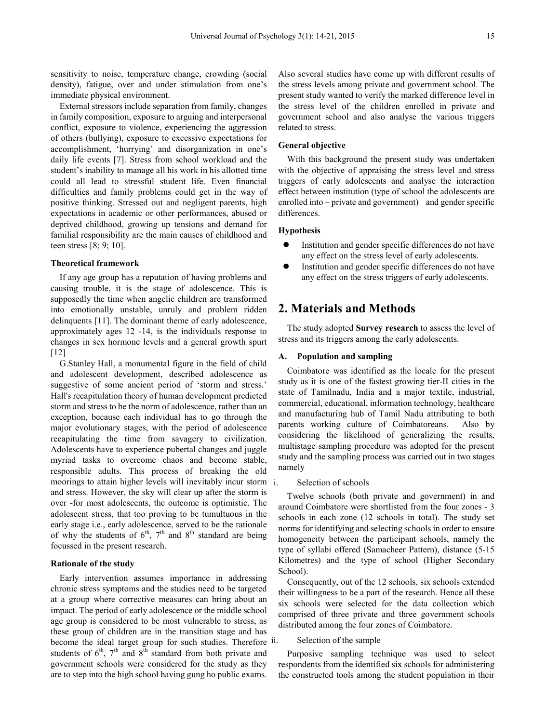sensitivity to noise, temperature change, crowding (social density), fatigue, over and under stimulation from one's immediate physical environment.

External stressors include separation from family, changes in family composition, exposure to arguing and interpersonal conflict, exposure to violence, experiencing the aggression of others (bullying), exposure to excessive expectations for accomplishment, 'hurrying' and disorganization in one's daily life events [7]. Stress from school workload and the student's inability to manage all his work in his allotted time could all lead to stressful student life. Even financial difficulties and family problems could get in the way of positive thinking. Stressed out and negligent parents, high expectations in academic or other performances, abused or deprived childhood, growing up tensions and demand for familial responsibility are the main causes of childhood and teen stress [8; 9; 10].

#### **Theoretical framework**

If any age group has a reputation of having problems and causing trouble, it is the stage of adolescence. This is supposedly the time when angelic children are transformed into emotionally unstable, unruly and problem ridden delinquents [11]. The dominant theme of early adolescence, approximately ages 12 -14, is the individuals response to changes in sex hormone levels and a general growth spurt [12]

G.Stanley Hall, a monumental figure in the field of child and adolescent development, described adolescence as suggestive of some ancient period of 'storm and stress.' Hall's recapitulation theory of human development predicted storm and stress to be the norm of adolescence, rather than an exception, because each individual has to go through the major evolutionary stages, with the period of adolescence recapitulating the time from savagery to civilization. Adolescents have to experience pubertal changes and juggle myriad tasks to overcome chaos and become stable, responsible adults. This process of breaking the old moorings to attain higher levels will inevitably incur storm and stress. However, the sky will clear up after the storm is over -for most adolescents, the outcome is optimistic. The adolescent stress, that too proving to be tumultuous in the early stage i.e., early adolescence, served to be the rationale of why the students of  $6<sup>th</sup>$ ,  $7<sup>th</sup>$  and  $8<sup>th</sup>$  standard are being focussed in the present research.

## **Rationale of the study**

Early intervention assumes importance in addressing chronic stress symptoms and the studies need to be targeted at a group where corrective measures can bring about an impact. The period of early adolescence or the middle school age group is considered to be most vulnerable to stress, as these group of children are in the transition stage and has become the ideal target group for such studies. Therefore ii. students of  $6<sup>th</sup>$ ,  $7<sup>th</sup>$  and  $8<sup>th</sup>$  standard from both private and government schools were considered for the study as they are to step into the high school having gung ho public exams.

Also several studies have come up with different results of the stress levels among private and government school. The present study wanted to verify the marked difference level in the stress level of the children enrolled in private and government school and also analyse the various triggers related to stress.

#### **General objective**

With this background the present study was undertaken with the objective of appraising the stress level and stress triggers of early adolescents and analyse the interaction effect between institution (type of school the adolescents are enrolled into – private and government) and gender specific differences.

#### **Hypothesis**

- Institution and gender specific differences do not have any effect on the stress level of early adolescents.
- Institution and gender specific differences do not have any effect on the stress triggers of early adolescents.

# **2. Materials and Methods**

The study adopted **Survey research** to assess the level of stress and its triggers among the early adolescents.

## **A. Population and sampling**

Coimbatore was identified as the locale for the present study as it is one of the fastest growing tier-II cities in the state of Tamilnadu, India and a major textile, industrial, commercial, educational, information technology, healthcare and manufacturing hub of Tamil Nadu attributing to both parents working culture of Coimbatoreans. Also by considering the likelihood of generalizing the results, multistage sampling procedure was adopted for the present study and the sampling process was carried out in two stages namely

#### i. Selection of schools

Twelve schools (both private and government) in and around Coimbatore were shortlisted from the four zones - 3 schools in each zone (12 schools in total). The study set norms for identifying and selecting schools in order to ensure homogeneity between the participant schools, namely the type of syllabi offered (Samacheer Pattern), distance (5-15 Kilometres) and the type of school (Higher Secondary School).

Consequently, out of the 12 schools, six schools extended their willingness to be a part of the research. Hence all these six schools were selected for the data collection which comprised of three private and three government schools distributed among the four zones of Coimbatore.

#### Selection of the sample

Purposive sampling technique was used to select respondents from the identified six schools for administering the constructed tools among the student population in their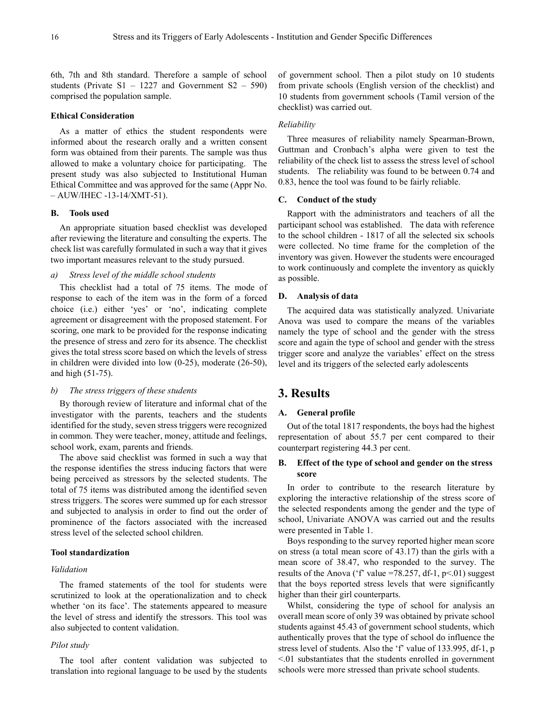6th, 7th and 8th standard. Therefore a sample of school students (Private  $S1 - 1227$  and Government  $S2 - 590$ ) comprised the population sample.

## **Ethical Consideration**

As a matter of ethics the student respondents were informed about the research orally and a written consent form was obtained from their parents. The sample was thus allowed to make a voluntary choice for participating. The present study was also subjected to Institutional Human Ethical Committee and was approved for the same (Appr No. – AUW/IHEC -13-14/XMT-51).

## **B. Tools used**

An appropriate situation based checklist was developed after reviewing the literature and consulting the experts. The check list was carefully formulated in such a way that it gives two important measures relevant to the study pursued.

## *a) Stress level of the middle school students*

This checklist had a total of 75 items. The mode of response to each of the item was in the form of a forced choice (i.e.) either 'yes' or 'no', indicating complete agreement or disagreement with the proposed statement. For scoring, one mark to be provided for the response indicating the presence of stress and zero for its absence. The checklist gives the total stress score based on which the levels of stress in children were divided into low (0-25), moderate (26-50), and high (51-75).

## *b) The stress triggers of these students*

By thorough review of literature and informal chat of the investigator with the parents, teachers and the students identified for the study, seven stress triggers were recognized in common. They were teacher, money, attitude and feelings, school work, exam, parents and friends.

The above said checklist was formed in such a way that the response identifies the stress inducing factors that were being perceived as stressors by the selected students. The total of 75 items was distributed among the identified seven stress triggers. The scores were summed up for each stressor and subjected to analysis in order to find out the order of prominence of the factors associated with the increased stress level of the selected school children.

## **Tool standardization**

## *Validation*

The framed statements of the tool for students were scrutinized to look at the operationalization and to check whether 'on its face'. The statements appeared to measure the level of stress and identify the stressors. This tool was also subjected to content validation.

#### *Pilot study*

The tool after content validation was subjected to translation into regional language to be used by the students of government school. Then a pilot study on 10 students from private schools (English version of the checklist) and 10 students from government schools (Tamil version of the checklist) was carried out.

#### *Reliability*

Three measures of reliability namely Spearman-Brown, Guttman and Cronbach's alpha were given to test the reliability of the check list to assess the stress level of school students. The reliability was found to be between 0.74 and 0.83, hence the tool was found to be fairly reliable.

## **C. Conduct of the study**

Rapport with the administrators and teachers of all the participant school was established. The data with reference to the school children - 1817 of all the selected six schools were collected. No time frame for the completion of the inventory was given. However the students were encouraged to work continuously and complete the inventory as quickly as possible.

## **D. Analysis of data**

The acquired data was statistically analyzed. Univariate Anova was used to compare the means of the variables namely the type of school and the gender with the stress score and again the type of school and gender with the stress trigger score and analyze the variables' effect on the stress level and its triggers of the selected early adolescents

# **3. Results**

## **A. General profile**

Out of the total 1817 respondents, the boys had the highest representation of about 55.7 per cent compared to their counterpart registering 44.3 per cent.

# **B. Effect of the type of school and gender on the stress score**

In order to contribute to the research literature by exploring the interactive relationship of the stress score of the selected respondents among the gender and the type of school, Univariate ANOVA was carried out and the results were presented in Table 1.

Boys responding to the survey reported higher mean score on stress (a total mean score of 43.17) than the girls with a mean score of 38.47, who responded to the survey. The results of the Anova ('f' value =78.257, df-1,  $p<01$ ) suggest that the boys reported stress levels that were significantly higher than their girl counterparts.

Whilst, considering the type of school for analysis an overall mean score of only 39 was obtained by private school students against 45.43 of government school students, which authentically proves that the type of school do influence the stress level of students. Also the 'f' value of 133.995, df-1, p <.01 substantiates that the students enrolled in government schools were more stressed than private school students.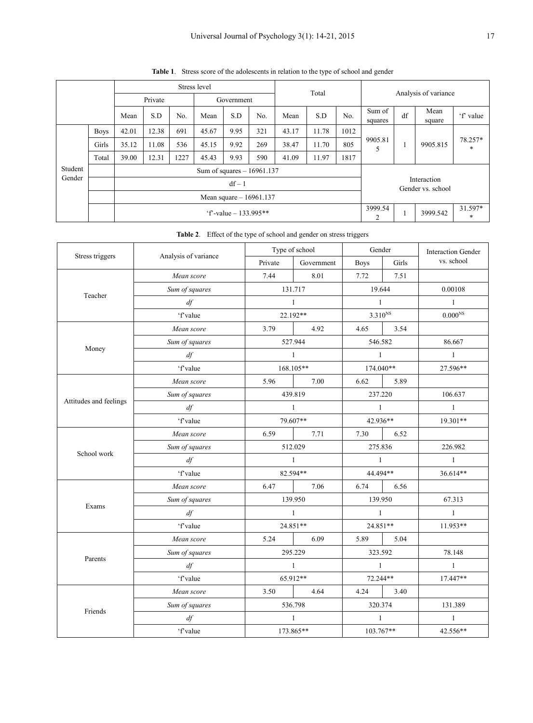|                   |             | Stress level                |       |      |            |      |     |       |       |                                  |                      |    |                |                   |
|-------------------|-------------|-----------------------------|-------|------|------------|------|-----|-------|-------|----------------------------------|----------------------|----|----------------|-------------------|
|                   |             | Private                     |       |      | Government |      |     | Total |       |                                  | Analysis of variance |    |                |                   |
|                   |             | Mean                        | S.D   | No.  | Mean       | S.D  | No. | Mean  | S.D   | No.                              | Sum of<br>squares    | df | Mean<br>square | 'f' value         |
| Student<br>Gender | <b>Boys</b> | 42.01                       | 12.38 | 691  | 45.67      | 9.95 | 321 | 43.17 | 11.78 | 1012                             | 9905.81<br>5         |    | 9905.815       | 78.257*<br>$\ast$ |
|                   | Girls       | 35.12                       | 11.08 | 536  | 45.15      | 9.92 | 269 | 38.47 | 11.70 | 805                              |                      |    |                |                   |
|                   | Total       | 39.00                       | 12.31 | 1227 | 45.43      | 9.93 | 590 | 41.09 | 11.97 | 1817                             |                      |    |                |                   |
|                   |             | Sum of squares $-16961.137$ |       |      |            |      |     |       |       | Interaction<br>Gender vs. school |                      |    |                |                   |
|                   |             | $df - 1$                    |       |      |            |      |     |       |       |                                  |                      |    |                |                   |
|                   |             | Mean square $-16961.137$    |       |      |            |      |     |       |       |                                  |                      |    |                |                   |
|                   |             | $f$ -value – 133.995**      |       |      |            |      |     |       |       |                                  |                      |    | 3999.542       | 31.597*<br>*      |

**Table 1**. Stress score of the adolescents in relation to the type of school and gender

# **Table 2**. Effect of the type of school and gender on stress triggers

|                        |                      |         | Type of school | Gender       |       | <b>Interaction Gender</b> |
|------------------------|----------------------|---------|----------------|--------------|-------|---------------------------|
| Stress triggers        | Analysis of variance | Private | Government     | <b>Boys</b>  | Girls | vs. school                |
|                        | Mean score           | 7.44    | 8.01           | 7.72         | 7.51  |                           |
|                        | Sum of squares       |         | 131.717        | 19.644       |       | 0.00108                   |
| Teacher                | df                   |         | $\mathbf{1}$   | $\mathbf{1}$ |       | $\mathbf{1}$              |
|                        | 'f'value             |         | 22.192**       | $3.310^{NS}$ |       | $0.000NS$                 |
|                        | Mean score           | 3.79    | 4.92           | 4.65         | 3.54  |                           |
|                        | Sum of squares       |         | 527.944        | 546.582      |       | 86.667                    |
| Money                  | df                   |         | $\mathbf{1}$   | $\mathbf{1}$ |       | $\mathbf{1}$              |
|                        | 'f'value             |         | 168.105**      | 174.040**    |       | 27.596**                  |
|                        | Mean score           | 5.96    | 7.00           | 6.62         | 5.89  |                           |
|                        | Sum of squares       |         | 439.819        | 237.220      |       | 106.637                   |
| Attitudes and feelings | df                   |         | $\mathbf{1}$   | $\mathbf{1}$ |       | $\mathbf{1}$              |
|                        | 'f'value             |         | 79.607**       | 42.936**     |       | 19.301**                  |
|                        | Mean score           | 6.59    | 7.71           | 7.30         | 6.52  |                           |
| School work            | Sum of squares       |         | 512.029        | 275.836      |       | 226.982                   |
|                        | df                   |         | $\mathbf{1}$   | $\mathbf{1}$ |       | $\mathbf{1}$              |
|                        | 'f'value             |         | 82.594**       | 44.494**     |       | 36.614**                  |
|                        | Mean score           | 6.47    | 7.06           | 6.74         | 6.56  |                           |
| Exams                  | Sum of squares       |         | 139.950        | 139.950      |       | 67.313                    |
|                        | df                   |         | $\mathbf{1}$   | $\mathbf{1}$ |       | $\mathbf{1}$              |
|                        | 'f'value             |         | 24.851**       | 24.851**     |       | 11.953**                  |
|                        | Mean score           | 5.24    | 6.09           | 5.89         | 5.04  |                           |
| Parents                | Sum of squares       |         | 295.229        | 323.592      |       | 78.148                    |
|                        | $df$                 |         | $\mathbf{1}$   | $\mathbf{1}$ |       | $\mathbf{1}$              |
|                        | 'f'value             |         | 65.912**       | 72.244**     |       | $17.447**$                |
|                        | Mean score           | 3.50    | 4.64           | 4.24         | 3.40  |                           |
| Friends                | Sum of squares       |         | 536.798        | 320.374      |       | 131.389                   |
|                        | df                   |         | $\mathbf{1}$   | $\mathbf{1}$ |       | $\mathbf{1}$              |
|                        | 'f'value             |         | 173.865**      | 103.767**    |       | 42.556**                  |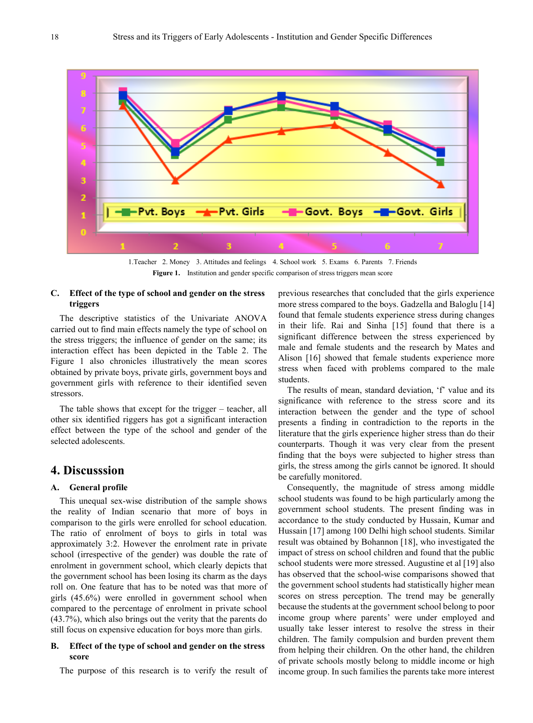

1.Teacher 2. Money 3. Attitudes and feelings 4. School work 5. Exams 6. Parents 7. Friends **Figure 1.** Institution and gender specific comparison of stress triggers mean score

# **C. Effect of the type of school and gender on the stress triggers**

The descriptive statistics of the Univariate ANOVA carried out to find main effects namely the type of school on the stress triggers; the influence of gender on the same; its interaction effect has been depicted in the Table 2. The Figure 1 also chronicles illustratively the mean scores obtained by private boys, private girls, government boys and government girls with reference to their identified seven stressors.

The table shows that except for the trigger – teacher, all other six identified riggers has got a significant interaction effect between the type of the school and gender of the selected adolescents.

# **4. Discusssion**

## **A. General profile**

This unequal sex-wise distribution of the sample shows the reality of Indian scenario that more of boys in comparison to the girls were enrolled for school education. The ratio of enrolment of boys to girls in total was approximately 3:2. However the enrolment rate in private school (irrespective of the gender) was double the rate of enrolment in government school, which clearly depicts that the government school has been losing its charm as the days roll on. One feature that has to be noted was that more of girls (45.6%) were enrolled in government school when compared to the percentage of enrolment in private school (43.7%), which also brings out the verity that the parents do still focus on expensive education for boys more than girls.

# **B. Effect of the type of school and gender on the stress score**

The purpose of this research is to verify the result of

previous researches that concluded that the girls experience more stress compared to the boys. Gadzella and Baloglu [14] found that female students experience stress during changes in their life. Rai and Sinha [15] found that there is a significant difference between the stress experienced by male and female students and the research by Mates and Alison [16] showed that female students experience more stress when faced with problems compared to the male students.

The results of mean, standard deviation, 'f' value and its significance with reference to the stress score and its interaction between the gender and the type of school presents a finding in contradiction to the reports in the literature that the girls experience higher stress than do their counterparts. Though it was very clear from the present finding that the boys were subjected to higher stress than girls, the stress among the girls cannot be ignored. It should be carefully monitored.

Consequently, the magnitude of stress among middle school students was found to be high particularly among the government school students. The present finding was in accordance to the study conducted by Hussain, Kumar and Hussain [17] among 100 Delhi high school students. Similar result was obtained by Bohannon [18], who investigated the impact of stress on school children and found that the public school students were more stressed. Augustine et al [19] also has observed that the school-wise comparisons showed that the government school students had statistically higher mean scores on stress perception. The trend may be generally because the students at the government school belong to poor income group where parents' were under employed and usually take lesser interest to resolve the stress in their children. The family compulsion and burden prevent them from helping their children. On the other hand, the children of private schools mostly belong to middle income or high income group. In such families the parents take more interest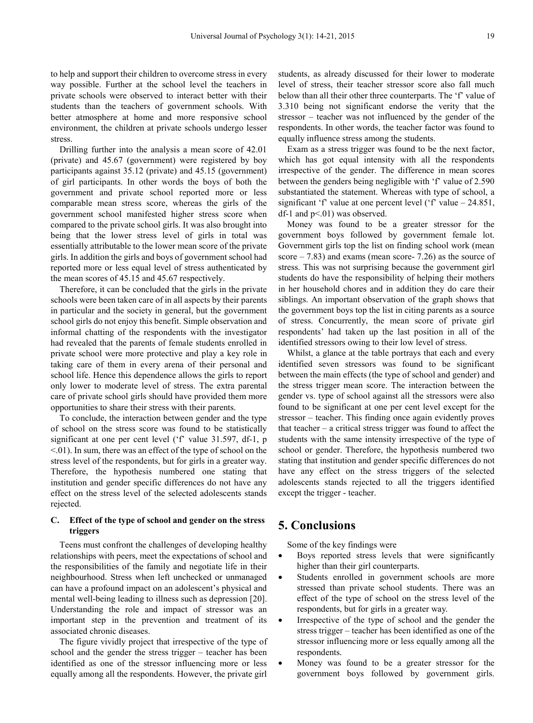to help and support their children to overcome stress in every way possible. Further at the school level the teachers in private schools were observed to interact better with their students than the teachers of government schools. With better atmosphere at home and more responsive school environment, the children at private schools undergo lesser stress.

Drilling further into the analysis a mean score of 42.01 (private) and 45.67 (government) were registered by boy participants against 35.12 (private) and 45.15 (government) of girl participants. In other words the boys of both the government and private school reported more or less comparable mean stress score, whereas the girls of the government school manifested higher stress score when compared to the private school girls. It was also brought into being that the lower stress level of girls in total was essentially attributable to the lower mean score of the private girls. In addition the girls and boys of government school had reported more or less equal level of stress authenticated by the mean scores of 45.15 and 45.67 respectively.

Therefore, it can be concluded that the girls in the private schools were been taken care of in all aspects by their parents in particular and the society in general, but the government school girls do not enjoy this benefit. Simple observation and informal chatting of the respondents with the investigator had revealed that the parents of female students enrolled in private school were more protective and play a key role in taking care of them in every arena of their personal and school life. Hence this dependence allows the girls to report only lower to moderate level of stress. The extra parental care of private school girls should have provided them more opportunities to share their stress with their parents.

To conclude, the interaction between gender and the type of school on the stress score was found to be statistically significant at one per cent level ('f' value 31.597, df-1, p <.01). In sum, there was an effect of the type of school on the stress level of the respondents, but for girls in a greater way. Therefore, the hypothesis numbered one stating that institution and gender specific differences do not have any effect on the stress level of the selected adolescents stands rejected.

# **C. Effect of the type of school and gender on the stress triggers**

Teens must confront the challenges of developing healthy relationships with peers, meet the expectations of school and the responsibilities of the family and negotiate life in their neighbourhood. Stress when left unchecked or unmanaged can have a profound impact on an adolescent's physical and mental well-being leading to illness such as depression [20]. Understanding the role and impact of stressor was an important step in the prevention and treatment of its associated chronic diseases.

The figure vividly project that irrespective of the type of school and the gender the stress trigger – teacher has been identified as one of the stressor influencing more or less equally among all the respondents. However, the private girl

students, as already discussed for their lower to moderate level of stress, their teacher stressor score also fall much below than all their other three counterparts. The 'f' value of 3.310 being not significant endorse the verity that the stressor – teacher was not influenced by the gender of the respondents. In other words, the teacher factor was found to equally influence stress among the students.

Exam as a stress trigger was found to be the next factor, which has got equal intensity with all the respondents irrespective of the gender. The difference in mean scores between the genders being negligible with 'f' value of 2.590 substantiated the statement. Whereas with type of school, a significant 'f' value at one percent level ('f' value – 24.851, df-1 and  $p<.01$ ) was observed.

Money was found to be a greater stressor for the government boys followed by government female lot. Government girls top the list on finding school work (mean score  $-7.83$ ) and exams (mean score- 7.26) as the source of stress. This was not surprising because the government girl students do have the responsibility of helping their mothers in her household chores and in addition they do care their siblings. An important observation of the graph shows that the government boys top the list in citing parents as a source of stress. Concurrently, the mean score of private girl respondents' had taken up the last position in all of the identified stressors owing to their low level of stress.

Whilst, a glance at the table portrays that each and every identified seven stressors was found to be significant between the main effects (the type of school and gender) and the stress trigger mean score. The interaction between the gender vs. type of school against all the stressors were also found to be significant at one per cent level except for the stressor – teacher. This finding once again evidently proves that teacher – a critical stress trigger was found to affect the students with the same intensity irrespective of the type of school or gender. Therefore, the hypothesis numbered two stating that institution and gender specific differences do not have any effect on the stress triggers of the selected adolescents stands rejected to all the triggers identified except the trigger - teacher.

# **5. Conclusions**

Some of the key findings were

- Boys reported stress levels that were significantly higher than their girl counterparts.
- Students enrolled in government schools are more stressed than private school students. There was an effect of the type of school on the stress level of the respondents, but for girls in a greater way.
- Irrespective of the type of school and the gender the stress trigger – teacher has been identified as one of the stressor influencing more or less equally among all the respondents.
- Money was found to be a greater stressor for the government boys followed by government girls.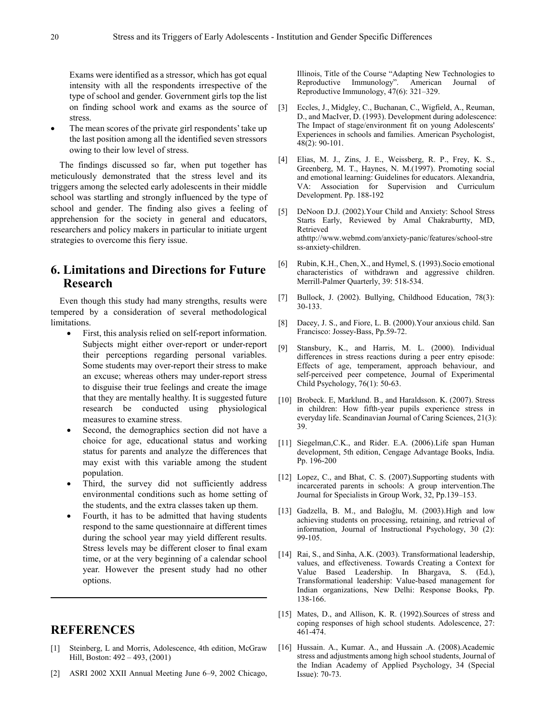Exams were identified as a stressor, which has got equal intensity with all the respondents irrespective of the type of school and gender. Government girls top the list on finding school work and exams as the source of stress.

The mean scores of the private girl respondents' take up the last position among all the identified seven stressors owing to their low level of stress.

The findings discussed so far, when put together has meticulously demonstrated that the stress level and its triggers among the selected early adolescents in their middle school was startling and strongly influenced by the type of school and gender. The finding also gives a feeling of apprehension for the society in general and educators, researchers and policy makers in particular to initiate urgent strategies to overcome this fiery issue.

# **6. Limitations and Directions for Future Research**

Even though this study had many strengths, results were tempered by a consideration of several methodological limitations.

- First, this analysis relied on self-report information. Subjects might either over-report or under-report their perceptions regarding personal variables. Some students may over-report their stress to make an excuse; whereas others may under-report stress to disguise their true feelings and create the image that they are mentally healthy. It is suggested future research be conducted using physiological measures to examine stress.
- Second, the demographics section did not have a choice for age, educational status and working status for parents and analyze the differences that may exist with this variable among the student population.
- Third, the survey did not sufficiently address environmental conditions such as home setting of the students, and the extra classes taken up them.
- Fourth, it has to be admitted that having students respond to the same questionnaire at different times during the school year may yield different results. Stress levels may be different closer to final exam time, or at the very beginning of a calendar school year. However the present study had no other options.

# **REFERENCES**

- [1] Steinberg, L and Morris, Adolescence, 4th edition, McGraw Hill, Boston: 492 – 493, (2001)
- [2] ASRI 2002 XXII Annual Meeting June 6–9, 2002 Chicago,

Illinois, Title of the Course "Adapting New Technologies to Reproductive Immunology". American Journal of Reproductive Immunology, 47(6): 321–329.

- [3] Eccles, J., Midgley, C., Buchanan, C., Wigfield, A., Reuman, D., and MacIver, D. (1993). Development during adolescence: The Impact of stage/environment fit on young Adolescents' Experiences in schools and families. American Psychologist, 48(2): 90-101.
- [4] Elias, M. J., Zins, J. E., Weissberg, R. P., Frey, K. S., Greenberg, M. T., Haynes, N. M.(1997). Promoting social and emotional learning: Guidelines for educators. Alexandria, VA: Association for Supervision and Curriculum Development. Pp. 188-192
- [5] DeNoon D.J. (2002).Your Child and Anxiety: School Stress Starts Early, Reviewed by Amal Chakraburtty, MD, Retrieved athttp://www.webmd.com/anxiety-panic/features/school-stre ss-anxiety-children.
- [6] Rubin, K.H., Chen, X., and Hymel, S. (1993).Socio emotional characteristics of withdrawn and aggressive children. Merrill-Palmer Quarterly, 39: 518-534.
- [7] Bullock, J. (2002). Bullying, Childhood Education, 78(3): 30-133.
- [8] Dacey, J. S., and Fiore, L. B. (2000).Your anxious child. San Francisco: Jossey-Bass, Pp.59-72.
- [9] Stansbury, K., and Harris, M. L. (2000). Individual differences in stress reactions during a peer entry episode: Effects of age, temperament, approach behaviour, and self-perceived peer competence, Journal of Experimental Child Psychology, 76(1): 50-63.
- [10] Brobeck. E, Marklund. B., and Haraldsson. K. (2007). Stress in children: How fifth-year pupils experience stress in everyday life. Scandinavian Journal of Caring Sciences, 21(3): 39.
- [11] Siegelman, C.K., and Rider. E.A. (2006). Life span Human development, 5th edition, Cengage Advantage Books, India. Pp. 196-200
- [12] Lopez, C., and Bhat, C. S. (2007). Supporting students with incarcerated parents in schools: A group intervention.The Journal for Specialists in Group Work, 32, Pp.139–153.
- [13] Gadzella, B. M., and Baloğlu, M. (2003). High and low achieving students on processing, retaining, and retrieval of information, Journal of Instructional Psychology, 30 (2): 99-105.
- [14] Rai, S., and Sinha, A.K. (2003). Transformational leadership, values, and effectiveness. Towards Creating a Context for Value Based Leadership. In Bhargava, S. (Ed.), Transformational leadership: Value-based management for Indian organizations, New Delhi: Response Books, Pp. 138-166.
- [15] Mates, D., and Allison, K. R. (1992). Sources of stress and coping responses of high school students. Adolescence, 27:  $461 - 474$ .
- [16] Hussain. A., Kumar. A., and Hussain .A. (2008). Academic stress and adjustments among high school students, Journal of the Indian Academy of Applied Psychology, 34 (Special Issue): 70-73.